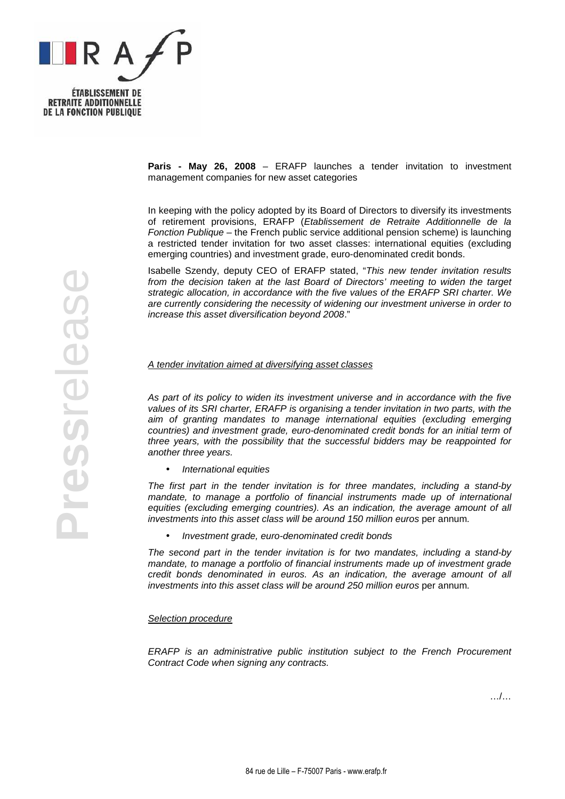

**Press**release

Pressrelease

**Paris - May 26, 2008** – ERAFP launches a tender invitation to investment management companies for new asset categories

In keeping with the policy adopted by its Board of Directors to diversify its investments of retirement provisions, ERAFP (Etablissement de Retraite Additionnelle de la Fonction Publique – the French public service additional pension scheme) is launching a restricted tender invitation for two asset classes: international equities (excluding emerging countries) and investment grade, euro-denominated credit bonds.

Isabelle Szendy, deputy CEO of ERAFP stated, "This new tender invitation results from the decision taken at the last Board of Directors' meeting to widen the target strategic allocation, in accordance with the five values of the ERAFP SRI charter. We are currently considering the necessity of widening our investment universe in order to increase this asset diversification beyond 2008."

## A tender invitation aimed at diversifying asset classes

As part of its policy to widen its investment universe and in accordance with the five values of its SRI charter, ERAFP is organising a tender invitation in two parts, with the aim of granting mandates to manage international equities (excluding emerging countries) and investment grade, euro-denominated credit bonds for an initial term of three years, with the possibility that the successful bidders may be reappointed for another three years.

• International equities

The first part in the tender invitation is for three mandates, including a stand-by mandate, to manage a portfolio of financial instruments made up of international equities (excluding emerging countries). As an indication, the average amount of all investments into this asset class will be around 150 million euros per annum.

• Investment grade, euro-denominated credit bonds

The second part in the tender invitation is for two mandates, including a stand-by mandate, to manage a portfolio of financial instruments made up of investment grade credit bonds denominated in euros. As an indication, the average amount of all investments into this asset class will be around 250 million euros per annum.

## Selection procedure

ERAFP is an administrative public institution subject to the French Procurement Contract Code when signing any contracts.